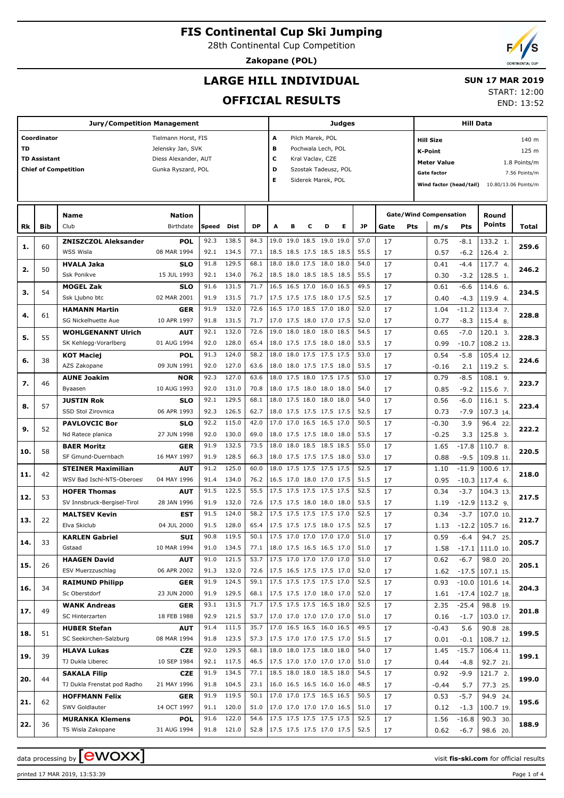28th Continental Cup Competition

**Zakopane (POL)**

END: 13:52

# **LARGE HILL INDIVIDUAL**

#### **SUN 17 MAR 2019** START: 12:00

**OFFICIAL RESULTS**

| <b>Jury/Competition Management</b> |                     |                             |                      |       |            |                                 |                         |                            |   |                    | Judges               |      | <b>Hill Data</b>              |                           |                         |            |                      |               |  |
|------------------------------------|---------------------|-----------------------------|----------------------|-------|------------|---------------------------------|-------------------------|----------------------------|---|--------------------|----------------------|------|-------------------------------|---------------------------|-------------------------|------------|----------------------|---------------|--|
|                                    | Coordinator         |                             | Tielmann Horst, FIS  |       |            |                                 | Α                       |                            |   | Pilch Marek, POL   |                      |      |                               | 140 m<br><b>Hill Size</b> |                         |            |                      |               |  |
| <b>TD</b>                          |                     |                             | Jelensky Jan, SVK    |       |            |                                 | в<br>Pochwala Lech, POL |                            |   |                    |                      |      |                               |                           | 125 m<br><b>K-Point</b> |            |                      |               |  |
|                                    | <b>TD Assistant</b> |                             | Diess Alexander, AUT |       |            |                                 | c<br>Kral Vaclav, CZE   |                            |   |                    |                      |      |                               |                           |                         |            |                      |               |  |
|                                    |                     |                             |                      |       |            |                                 |                         |                            |   |                    |                      |      |                               |                           | <b>Meter Value</b>      |            |                      | 1.8 Points/m  |  |
|                                    |                     | <b>Chief of Competition</b> | Gunka Ryszard, POL   |       |            |                                 | D                       |                            |   |                    | Szostak Tadeusz, POL |      |                               |                           | <b>Gate factor</b>      |            |                      | 7.56 Points/m |  |
|                                    |                     |                             |                      |       |            |                                 | Е                       |                            |   | Siderek Marek, POL |                      |      |                               |                           | Wind factor (head/tail) |            | 10.80/13.06 Points/m |               |  |
|                                    |                     |                             |                      |       |            |                                 |                         |                            |   |                    |                      |      |                               |                           |                         |            |                      |               |  |
|                                    |                     |                             |                      |       |            |                                 |                         |                            |   |                    |                      |      |                               |                           |                         |            |                      |               |  |
|                                    |                     | <b>Name</b>                 | Nation               |       |            |                                 |                         |                            |   |                    |                      |      | <b>Gate/Wind Compensation</b> |                           |                         |            | Round                |               |  |
| Rk                                 | Bib                 | Club                        | Birthdate            | Speed | Dist       | <b>DP</b>                       | A                       | в                          | c | D                  | Е                    | JP   | Gate<br>Pts                   |                           | m/s                     | <b>Pts</b> | <b>Points</b>        | Total         |  |
|                                    |                     | <b>ZNISZCZOL Aleksander</b> | <b>POL</b>           | 92.3  | 138.5      | 84.3                            |                         | 19.0 19.0 18.5 19.0 19.0   |   |                    |                      | 57.0 | 17                            |                           | 0.75                    | $-8.1$     | 133.2 1.             |               |  |
| 1.                                 | 60                  | WSS Wisla                   | 08 MAR 1994          | 92.1  | 134.5      | 77.1                            |                         | 18.5 18.5 17.5 18.5 18.5   |   |                    |                      | 55.5 | 17                            |                           | 0.57                    | $-6.2$     | 126.4 2.             | 259.6         |  |
|                                    |                     | <b>HVALA Jaka</b>           | <b>SLO</b>           | 91.8  | 129.5      | 68.1                            | 18.0                    | 18.0 17.5 18.0 18.0        |   |                    |                      | 54.0 | 17                            |                           | 0.41                    | $-4.4$     | 117.7 4.             |               |  |
| 2.                                 | 50                  | Ssk Ponikve                 | 15 JUL 1993          | 92.1  | 134.0      | 76.2                            |                         | 18.5 18.0 18.5 18.5 18.5   |   |                    |                      | 55.5 | 17                            |                           | 0.30                    | $-3.2$     | 128.5 1.             | 246.2         |  |
|                                    |                     | <b>MOGEL Zak</b>            | <b>SLO</b>           | 91.6  | 131.5      | 71.7                            |                         | 16.5 16.5 17.0             |   | 16.0 16.5          |                      | 49.5 | 17                            |                           | 0.61                    | $-6.6$     | 114.6 6.             |               |  |
| з.                                 | 54                  | Ssk Ljubno btc              | 02 MAR 2001          | 91.9  | 131.5      | 71.7                            |                         | 17.5 17.5 17.5 18.0 17.5   |   |                    |                      | 52.5 | 17                            |                           | 0.40                    | $-4.3$     | 119.9 4.             | 234.5         |  |
|                                    |                     | <b>HAMANN Martin</b>        | <b>GER</b>           | 91.9  | 132.0      | 72.6                            |                         | 16.5 17.0 18.5 17.0 18.0   |   |                    |                      | 52.0 | 17                            |                           | 1.04                    | $-11.2$    | 113.4 7.             |               |  |
| 4.                                 | 61                  | SG Nickelhuette Aue         | 10 APR 1997          | 91.8  | 131.5      | 71.7                            |                         | 17.0 17.5 18.0 17.0 17.5   |   |                    |                      | 52.0 | 17                            |                           | 0.77                    | $-8.3$     | 115.4 8.             | 228.8         |  |
|                                    |                     | <b>WOHLGENANNT Ulrich</b>   | <b>AUT</b>           | 92.1  | 132.0      | 72.6                            | 19.0                    | 18.0 18.0                  |   | 18.0 18.5          |                      | 54.5 | 17                            |                           | 0.65                    | $-7.0$     | 120.1 3.             |               |  |
| 5.                                 | 55                  |                             | 01 AUG 1994          | 92.0  | 128.0      | 65.4                            |                         |                            |   |                    |                      | 53.5 | 17                            |                           |                         |            |                      | 228.3         |  |
|                                    |                     | SK Kehlegg-Vorarlberg       |                      |       |            |                                 |                         | 18.0 17.5 17.5 18.0 18.0   |   |                    |                      |      |                               |                           | 0.99                    | $-10.7$    | 108.2 13.            |               |  |
| 6.                                 | 38                  | <b>KOT Maciej</b>           | <b>POL</b>           | 91.3  | 124.0      | 58.2                            | 18.0                    | 18.0 17.5 17.5 17.5        |   |                    |                      | 53.0 | 17                            |                           | 0.54                    | $-5.8$     | 105.4 12.            | 224.6         |  |
|                                    |                     | AZS Zakopane                | 09 JUN 1991          | 92.0  | 127.0      | 63.6                            |                         | 18.0 18.0 17.5 17.5 18.0   |   |                    |                      | 53.5 | 17                            |                           | $-0.16$                 | 2.1        | 119.2 5.             |               |  |
| 7.                                 | 46                  | <b>AUNE Joakim</b>          | <b>NOR</b>           | 92.3  | 127.0      | 63.6                            |                         | 18.0 17.5 18.0 17.5 17.5   |   |                    |                      | 53.0 | 17                            |                           | 0.79                    | $-8.5$     | $108.1$ 9.           | 223.7         |  |
|                                    |                     | Byaasen                     | 10 AUG 1993          | 92.0  | 131.0      | 70.8                            |                         | 18.0 17.5 18.0 18.0 18.0   |   |                    |                      | 54.0 | 17                            |                           | 0.85                    | $-9.2$     | 115.6 7.             |               |  |
| 8.                                 | 57                  | <b>JUSTIN Rok</b>           | <b>SLO</b>           | 92.1  | 129.5      | 68.1                            | 18.0                    | 17.5 18.0                  |   | 18.0 18.0          |                      | 54.0 | 17                            |                           | 0.56                    | $-6.0$     | 116.1 5.             | 223.4         |  |
|                                    |                     | SSD Stol Zirovnica          | 06 APR 1993          | 92.3  | 126.5      | 62.7                            |                         | 18.0 17.5 17.5 17.5 17.5   |   |                    |                      | 52.5 | 17                            |                           | 0.73                    | $-7.9$     | 107.3 14.            |               |  |
| 9.                                 | 52                  | <b>PAVLOVCIC Bor</b>        | <b>SLO</b>           | 92.2  | 115.0      | 42.0                            | 17.0                    | 17.0 16.5 16.5 17.0        |   |                    |                      | 50.5 | 17                            |                           | $-0.30$                 | 3.9        | 96.4 22.             | 222.2         |  |
|                                    |                     | Nd Ratece planica           | 27 JUN 1998          | 92.0  | 130.0      | 69.0                            |                         | 18.0 17.5 17.5 18.0 18.0   |   |                    |                      | 53.5 | 17                            |                           | $-0.25$                 | 3.3        | 125.8 3.             |               |  |
| 10.                                | 58                  | <b>BAER Moritz</b>          | <b>GER</b>           | 91.9  | 132.5      | 73.5                            | 18.0                    | 18.0 18.5 18.5 18.5        |   |                    |                      | 55.0 | 17                            |                           | 1.65                    | $-17.8$    | $110.78$ .           | 220.5         |  |
|                                    |                     | SF Gmund-Duernbach          | 16 MAY 1997          | 91.9  | 128.5      | 66.3                            |                         | 18.0 17.5 17.5 17.5 18.0   |   |                    |                      | 53.0 | 17                            |                           | 0.88                    | $-9.5$     | 109.8 11.            |               |  |
| 11.                                | 42                  | <b>STEINER Maximilian</b>   | <b>AUT</b>           | 91.2  | 125.0      | 60.0                            | 18.0                    | 17.5 17.5 17.5 17.5        |   |                    |                      | 52.5 | 17                            |                           | 1.10                    | $-11.9$    | 100.6 17.            | 218.0         |  |
|                                    |                     | WSV Bad Ischl-NTS-Oberoes   | 04 MAY 1996          | 91.4  | 134.0      | 76.2                            |                         | 16.5 17.0 18.0 17.0 17.5   |   |                    |                      | 51.5 | 17                            |                           | 0.95                    | $-10.3$    | $117.4$ 6.           |               |  |
|                                    |                     | <b>HOFER Thomas</b>         | <b>AUT</b>           | 91.5  | 122.5      | 55.5                            |                         | 17.5 17.5 17.5 17.5 17.5   |   |                    |                      | 52.5 | 17                            |                           | 0.34                    | $-3.7$     | 104.3 13.            |               |  |
| 12.                                | 53                  | SV Innsbruck-Bergisel-Tirol | 28 JAN 1996          | 91.9  | 132.0      | 72.6                            |                         | 17.5 17.5 18.0 18.0 18.0   |   |                    |                      | 53.5 | 17                            |                           | 1.19                    | $-12.9$    | $113.2$ 9.           | 217.5         |  |
|                                    |                     | <b>MALTSEV Kevin</b>        | <b>EST</b>           | 91.5  | 124.0      | 58.2                            |                         | 17.5 17.5 17.5 17.5 17.0   |   |                    |                      | 52.5 | 17                            |                           | 0.34                    | $-3.7$     | 107.0 10.            |               |  |
| 13.                                | 22                  | Elva Skiclub                | 04 JUL 2000          | 91.5  | 128.0      | 65.4                            |                         | 17.5 17.5 17.5 18.0 17.5   |   |                    |                      | 52.5 | 17                            |                           | 1.13                    | $-12.2$    | $105.7$ 16.          | 212.7         |  |
|                                    |                     | <b>KARLEN Gabriel</b>       | SUI                  | 90.8  | 119.5      | 50.1                            |                         | 17.5 17.0 17.0 17.0 17.0   |   |                    |                      | 51.0 | 17                            |                           | 0.59                    | $-6.4$     | 94.7 25.             |               |  |
| 14.                                | 33                  | Gstaad                      | 10 MAR 1994          | 91.0  | 134.5      | 77.1   18.0 17.5 16.5 16.5 17.0 |                         |                            |   |                    |                      | 51.0 | 17                            |                           | 1.58                    |            | $-17.1$ 111.0 10.    | 205.7         |  |
|                                    |                     | <b>HAAGEN David</b>         | <b>AUT</b>           | 91.0  | 121.5      | 53.7                            |                         | 17.5 17.0 17.0 17.0 17.0   |   |                    |                      | 51.0 | 17                            |                           | 0.62                    | $-6.7$     | 98.0 20.             |               |  |
| 15.                                | 26                  | ESV Muerzzuschlag           | 06 APR 2002          | 91.3  | 132.0      | 72.6                            |                         | 17.5 16.5 17.5 17.5 17.0   |   |                    |                      | 52.0 | 17                            |                           | 1.62                    |            | $-17.5$ 107.1 15.    | 205.1         |  |
|                                    |                     | <b>RAIMUND Philipp</b>      | <b>GER</b>           | 91.9  | 124.5      | 59.1                            |                         | 17.5 17.5 17.5 17.5 17.0   |   |                    |                      | 52.5 | 17                            |                           | 0.93                    |            | $-10.0$ 101.6 14.    |               |  |
| 16.                                | 34                  | Sc Oberstdorf               | 23 JUN 2000          | 91.9  | 129.5      | 68.1                            |                         | 17.5 17.5 17.0 18.0 17.0   |   |                    |                      | 52.0 | 17                            |                           | 1.61                    |            | $-17.4$ 102.7 18.    | 204.3         |  |
|                                    |                     | <b>WANK Andreas</b>         | <b>GER</b>           | 93.1  | 131.5      | 71.7                            |                         | 17.5 17.5 17.5 16.5 18.0   |   |                    |                      | 52.5 | 17                            |                           | 2.35                    | $-25.4$    | 98.8 19.             |               |  |
| 17.                                | 49                  | SC Hinterzarten             | 18 FEB 1988          | 92.9  | 121.5      | 53.7                            |                         | 17.0 17.0 17.0 17.0 17.0   |   |                    |                      | 51.0 | 17                            |                           | 0.16                    | $-1.7$     | 103.0 17.            | 201.8         |  |
|                                    |                     | <b>HUBER Stefan</b>         | <b>AUT</b>           | 91.4  | 111.5      | 35.7                            |                         | 17.0 16.5 16.5 16.0 16.5   |   |                    |                      | 49.5 | 17                            |                           | $-0.43$                 | 5.6        | 90.8 28.             |               |  |
| 18.                                | 51                  | SC Seekirchen-Salzburg      | 08 MAR 1994          | 91.8  | 123.5      | 57.3                            |                         | 17.5 17.0 17.0 17.5 17.0   |   |                    |                      | 51.5 | 17                            |                           | 0.01                    | $-0.1$     | 108.7 12.            | 199.5         |  |
|                                    |                     | <b>HLAVA Lukas</b>          | <b>CZE</b>           | 92.0  | 129.5      | 68.1                            |                         | 18.0 18.0 17.5 18.0 18.0   |   |                    |                      | 54.0 | 17                            |                           | 1.45                    | $-15.7$    | 106.4 11.            |               |  |
| 19.                                | 39                  | TJ Dukla Liberec            | 10 SEP 1984          | 92.1  | 117.5      | 46.5                            |                         | 17.5 17.0 17.0 17.0 17.0   |   |                    |                      | 51.0 | 17                            |                           | 0.44                    | $-4.8$     | 92.7 21.             | 199.1         |  |
|                                    |                     | <b>SAKALA Filip</b>         | <b>CZE</b>           | 91.9  | 134.5      | 77.1                            |                         | 18.5 18.0 18.0 18.5 18.0   |   |                    |                      | 54.5 | 17                            |                           | 0.92                    | $-9.9$     | 121.7 2.             |               |  |
| 20.                                | 44                  | TJ Dukla Frenstat pod Radho | 21 MAY 1996          | 91.8  | 104.5      | 23.1                            |                         | $16.0$ 16.5 16.5 16.0 16.0 |   |                    |                      | 48.5 | 17                            |                           |                         |            |                      | 199.0         |  |
|                                    |                     |                             |                      | 91.9  | 119.5      | 50.1                            |                         | 17.0 17.0 17.5 16.5 16.5   |   |                    |                      | 50.5 |                               |                           | $-0.44$                 | 5.7        | 77.3 25.             |               |  |
| 21.                                | 62                  | <b>HOFFMANN Felix</b>       | <b>GER</b>           |       |            |                                 |                         |                            |   |                    |                      |      | 17                            |                           | 0.53                    | $-5.7$     | 94.9 24.             | 195.6         |  |
|                                    |                     | SWV Goldlauter              | 14 OCT 1997          | 91.1  | 120.0      | 51.0                            |                         | 17.0 17.0 17.0 17.0 16.5   |   |                    |                      | 51.0 | 17                            |                           | 0.12                    | $-1.3$     | 100.7 19.            |               |  |
| 22.                                | 36                  | <b>MURANKA Klemens</b>      | <b>POL</b>           | 91.6  | 122.0      | 54.6                            |                         | 17.5 17.5 17.5 17.5 17.5   |   |                    |                      | 52.5 | 17                            |                           | 1.56                    | $-16.8$    | 90.3 30.             | 188.9         |  |
|                                    |                     | TS Wisla Zakopane           | 31 AUG 1994          |       | 91.8 121.0 | 52.8                            |                         | 17.5 17.5 17.5 17.0 17.5   |   |                    |                      | 52.5 | 17                            |                           | 0.62                    | $-6.7$     | 98.6 20.             |               |  |

data processing by **CWOXX** and  $\overline{C}$  and  $\overline{C}$  and  $\overline{C}$  and  $\overline{C}$  and  $\overline{C}$  and  $\overline{C}$  and  $\overline{C}$  and  $\overline{C}$  and  $\overline{C}$  and  $\overline{C}$  and  $\overline{C}$  and  $\overline{C}$  and  $\overline{C}$  and  $\overline{C}$  and  $\overline{C}$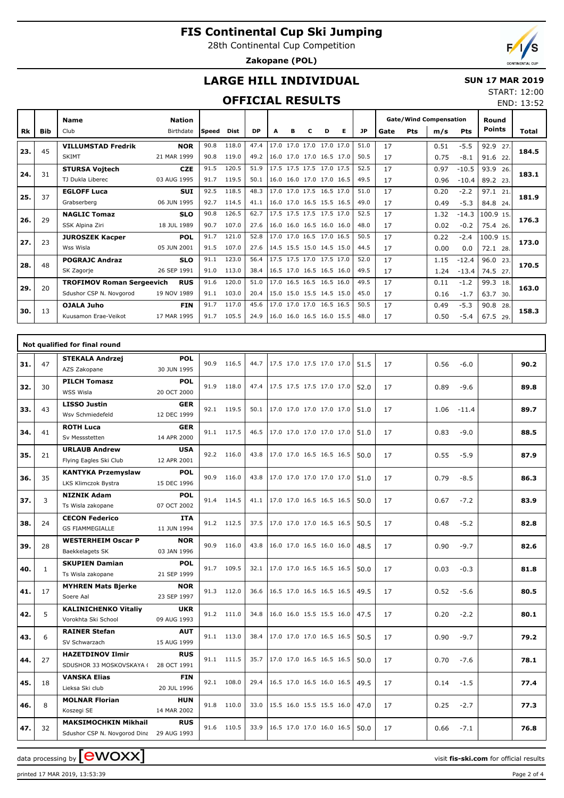28th Continental Cup Competition

**Zakopane (POL)**



END: 13:52

## **LARGE HILL INDIVIDUAL**

#### **SUN 17 MAR 2019** START: 12:00

## **OFFICIAL RESULTS**

|           |            | <b>Name</b>                      | Nation      |         |       |           |                          |   |                          |   |   |           | <b>Gate/Wind Compensation</b><br>Pts<br>Gate |  |      |            | Round<br><b>Points</b> |       |
|-----------|------------|----------------------------------|-------------|---------|-------|-----------|--------------------------|---|--------------------------|---|---|-----------|----------------------------------------------|--|------|------------|------------------------|-------|
| <b>Rk</b> | <b>Bib</b> | Club                             | Birthdate   | l Speed | Dist  | <b>DP</b> | A                        | в | с                        | D | Е | <b>JP</b> |                                              |  | m/s  | <b>Pts</b> |                        | Total |
| 23.       | 45         | <b>VILLUMSTAD Fredrik</b>        | <b>NOR</b>  | 90.8    | 118.0 | 47.4      | 17.0                     |   | 17.0 17.0 17.0 17.0      |   |   | 51.0      | 17                                           |  | 0.51 | $-5.5$     | 92.9<br>27             | 184.5 |
|           |            | <b>SKIMT</b>                     | 21 MAR 1999 | 90.8    | 119.0 | 49.2      |                          |   | 16.0 17.0 17.0 16.5 17.0 |   |   | 50.5      | 17                                           |  | 0.75 | $-8.1$     | 91.6<br>22             |       |
| 24.       | 31         | <b>STURSA Vojtech</b>            | <b>CZE</b>  | 91.5    | 120.5 | 51.9      |                          |   | 17.5 17.5 17.5 17.0 17.5 |   |   | 52.5      | 17                                           |  | 0.97 | $-10.5$    | 93.9<br>26.            | 183.1 |
|           |            | TJ Dukla Liberec                 | 03 AUG 1995 | 91.7    | 119.5 | 50.1      |                          |   | 16.0 16.0 17.0 17.0 16.5 |   |   | 49.5      | 17                                           |  | 0.96 | $-10.4$    | 89.2 23.               |       |
| 25.       | 37         | <b>EGLOFF Luca</b>               | <b>SUI</b>  | 92.5    | 118.5 | 48.3      |                          |   | 17.0 17.0 17.5 16.5 17.0 |   |   | 51.0      | 17                                           |  | 0.20 | $-2.2$     | 97.1<br>21             | 181.9 |
|           |            | Grabserberg                      | 06 JUN 1995 | 92.7    | 114.5 | 41.1      |                          |   | 16.0 17.0 16.5 15.5 16.5 |   |   | 49.0      | 17                                           |  | 0.49 | $-5.3$     | 84.8<br>24.            |       |
| 26.       | 29         | <b>NAGLIC Tomaz</b>              | <b>SLO</b>  | 90.8    | 126.5 | 62.7      |                          |   | 17.5 17.5 17.5 17.5 17.0 |   |   | 52.5      | 17                                           |  | 1.32 | $-14.3$    | 100.9 15.              | 176.3 |
|           |            | SSK Alpina Ziri                  | 18 JUL 1989 | 90.7    | 107.0 | 27.6      |                          |   | 16.0 16.0 16.5 16.0 16.0 |   |   | 48.0      | 17                                           |  | 0.02 | $-0.2$     | 75.4 26.               |       |
| 27.       | 23         | <b>JUROSZEK Kacper</b>           | <b>POL</b>  | 91.7    | 121.0 | 52.8      |                          |   | 17.0 17.0 16.5 17.0 16.5 |   |   | 50.5      | 17                                           |  | 0.22 | $-2.4$     | 100.9 15.              | 173.0 |
|           |            | Wss Wisla                        | 05 JUN 2001 | 91.5    | 107.0 | 27.6      | 14.5 15.5 15.0 14.5 15.0 |   |                          |   |   | 44.5      | 17                                           |  | 0.00 | 0.0        | 72.1<br>28.            |       |
| 28.       | 48         | <b>POGRAJC Andraz</b>            | <b>SLO</b>  | 91.1    | 123.0 | 56.4      |                          |   | 17.5 17.5 17.0 17.5 17.0 |   |   | 52.0      | 17                                           |  | 1.15 | $-12.4$    | 96.0<br>23.            | 170.5 |
|           |            | SK Zagorje                       | 26 SEP 1991 | 91.0    | 113.0 | 38.4      | 16.5 17.0 16.5 16.5 16.0 |   |                          |   |   | 49.5      | 17                                           |  | 1.24 | $-13.4$    | 74.5<br>27.            |       |
| 29.       | 20         | <b>TROFIMOV Roman Sergeevich</b> | <b>RUS</b>  | 91.6    | 120.0 | 51.0      |                          |   | 17.0 16.5 16.5 16.5 16.0 |   |   | 49.5      | 17                                           |  | 0.11 | $-1.2$     | 99.3<br>18.            | 163.0 |
|           |            | Sdushor CSP N. Novgorod          | 19 NOV 1989 | 91.1    | 103.0 | 20.4      | 15.0 15.0 15.5 14.5 15.0 |   |                          |   |   | 45.0      | 17                                           |  | 0.16 | $-1.7$     | 63.7<br>30.            |       |
| 30.       | 13         | OJALA Juho                       | <b>FIN</b>  | 91.7    | 117.0 | 45.6      |                          |   | 17.0 17.0 17.0 16.5 16.5 |   |   | 50.5      | 17                                           |  | 0.49 | $-5.3$     | 90.8<br>28.            | 158.3 |
|           |            | Kuusamon Erae-Veikot             | 17 MAR 1995 | 91.7    | 105.5 | 24.9      |                          |   | 16.0 16.0 16.5 16.0 15.5 |   |   | 48.0      | 17                                           |  | 0.50 | $-5.4$     | 67.5<br>29.            |       |

|     |              | Not qualified for final round                                           |                           |      |            |      |                          |      |    |                 |      |
|-----|--------------|-------------------------------------------------------------------------|---------------------------|------|------------|------|--------------------------|------|----|-----------------|------|
| 31. | 47           | <b>STEKALA Andrzej</b><br>AZS Zakopane                                  | <b>POL</b><br>30 JUN 1995 |      | 90.9 116.5 | 44.7 | 17.5 17.0 17.5 17.0 17.0 | 51.5 | 17 | 0.56<br>$-6.0$  | 90.2 |
| 32. | 30           | <b>PILCH Tomasz</b><br>WSS Wisla                                        | <b>POL</b><br>20 OCT 2000 |      | 91.9 118.0 | 47.4 | 17.5 17.5 17.5 17.0 17.0 | 52.0 | 17 | 0.89<br>$-9.6$  | 89.8 |
| 33. | 43           | <b>LISSO Justin</b><br>Wsv Schmiedefeld                                 | <b>GER</b><br>12 DEC 1999 |      | 92.1 119.5 | 50.1 | 17.0 17.0 17.0 17.0 17.0 | 51.0 | 17 | 1.06<br>$-11.4$ | 89.7 |
| 34. | 41           | <b>ROTH Luca</b><br>Sv Messstetten                                      | <b>GER</b><br>14 APR 2000 |      | 91.1 117.5 | 46.5 | 17.0 17.0 17.0 17.0 17.0 | 51.0 | 17 | 0.83<br>$-9.0$  | 88.5 |
| 35. | 21           | <b>URLAUB Andrew</b><br>Flying Eagles Ski Club                          | <b>USA</b><br>12 APR 2001 |      | 92.2 116.0 | 43.8 | 17.0 17.0 16.5 16.5 16.5 | 50.0 | 17 | 0.55<br>$-5.9$  | 87.9 |
| 36. | 35           | <b>KANTYKA Przemyslaw</b><br>LKS Klimczok Bystra                        | <b>POL</b><br>15 DEC 1996 |      | 90.9 116.0 | 43.8 | 17.0 17.0 17.0 17.0 17.0 | 51.0 | 17 | 0.79<br>$-8.5$  | 86.3 |
| 37. | 3            | <b>NIZNIK Adam</b><br>Ts Wisla zakopane                                 | <b>POL</b><br>07 OCT 2002 |      | 91.4 114.5 | 41.1 | 17.0 17.0 16.5 16.5 16.5 | 50.0 | 17 | 0.67<br>$-7.2$  | 83.9 |
| 38. | 24           | <b>CECON Federico</b><br><b>GS FIAMMEGIALLE</b>                         | <b>ITA</b><br>11 JUN 1994 |      | 91.2 112.5 | 37.5 | 17.0 17.0 17.0 16.5 16.5 | 50.5 | 17 | 0.48<br>$-5.2$  | 82.8 |
| 39. | 28           | <b>WESTERHEIM Oscar P</b><br>Baekkelagets SK                            | <b>NOR</b><br>03 JAN 1996 |      | 90.9 116.0 | 43.8 | 16.0 17.0 16.5 16.0 16.0 | 48.5 | 17 | 0.90<br>$-9.7$  | 82.6 |
| 40. | $\mathbf{1}$ | <b>SKUPIEN Damian</b><br>Ts Wisla zakopane                              | <b>POL</b><br>21 SEP 1999 |      | 91.7 109.5 | 32.1 | 17.0 17.0 16.5 16.5 16.5 | 50.0 | 17 | 0.03<br>$-0.3$  | 81.8 |
| 41. | 17           | <b>MYHREN Mats Bjerke</b><br>Soere Aal                                  | <b>NOR</b><br>23 SEP 1997 |      | 91.3 112.0 | 36.6 | 16.5 17.0 16.5 16.5 16.5 | 49.5 | 17 | 0.52<br>$-5.6$  | 80.5 |
| 42. | 5            | <b>KALINICHENKO Vitaliy</b><br>Vorokhta Ski School                      | <b>UKR</b><br>09 AUG 1993 |      | 91.2 111.0 | 34.8 | 16.0 16.0 15.5 15.5 16.0 | 47.5 | 17 | 0.20<br>$-2.2$  | 80.1 |
| 43. | 6            | <b>RAINER Stefan</b><br>SV Schwarzach                                   | <b>AUT</b><br>15 AUG 1999 |      | 91.1 113.0 | 38.4 | 17.0 17.0 17.0 16.5 16.5 | 50.5 | 17 | $-9.7$<br>0.90  | 79.2 |
| 44. | 27           | <b>HAZETDINOV Ilmir</b><br>SDUSHOR 33 MOSKOVSKAYA (                     | <b>RUS</b><br>28 OCT 1991 |      | 91.1 111.5 | 35.7 | 17.0 17.0 16.5 16.5 16.5 | 50.0 | 17 | 0.70<br>$-7.6$  | 78.1 |
| 45. | 18           | <b>VANSKA Elias</b><br>Lieksa Ski club                                  | <b>FIN</b><br>20 JUL 1996 |      | 92.1 108.0 | 29.4 | 16.5 17.0 16.5 16.0 16.5 | 49.5 | 17 | $-1.5$<br>0.14  | 77.4 |
| 46. | 8            | <b>MOLNAR Florian</b><br>Koszegi SE                                     | <b>HUN</b><br>14 MAR 2002 | 91.8 | 110.0      | 33.0 | 15.5 16.0 15.5 15.5 16.0 | 47.0 | 17 | 0.25<br>$-2.7$  | 77.3 |
| 47. | 32           | <b>MAKSIMOCHKIN Mikhail</b><br>Sdushor CSP N. Novgorod Dina 29 AUG 1993 | <b>RUS</b>                | 91.6 | 110.5      | 33.9 | 16.5 17.0 17.0 16.0 16.5 | 50.0 | 17 | 0.66<br>$-7.1$  | 76.8 |

data processing by **CWOXX**  $\blacksquare$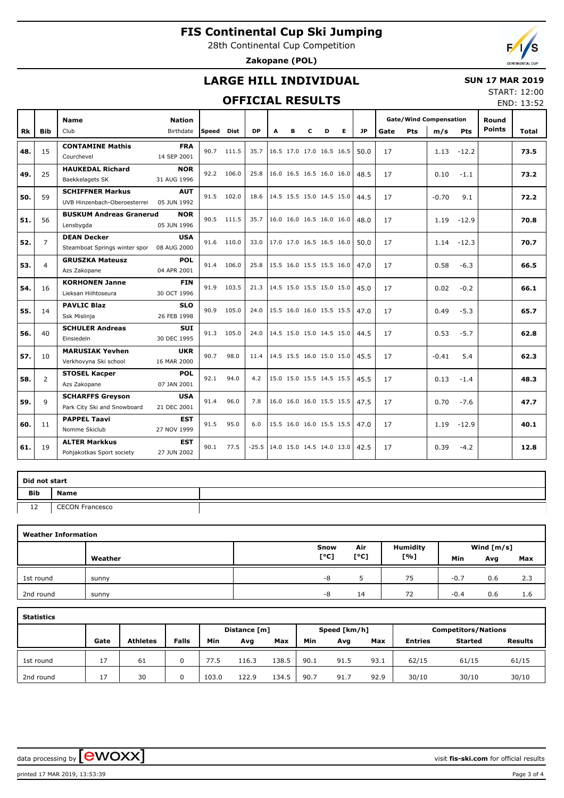28th Continental Cup Competition

**Zakopane (POL)**



## **LARGE HILL INDIVIDUAL**

### **SUN 17 MAR 2019**

## **OFFICIAL RESULTS**

START: 12:00 END: 13:52

|           |                | <b>Name</b>                    | <b>Nation</b> |            |            |           |                          |   |   |                          |                          |           |      |     | <b>Gate/Wind Compensation</b> |         | Round         |       |
|-----------|----------------|--------------------------------|---------------|------------|------------|-----------|--------------------------|---|---|--------------------------|--------------------------|-----------|------|-----|-------------------------------|---------|---------------|-------|
| <b>Rk</b> | <b>Bib</b>     | Club                           | Birthdate     | Speed Dist |            | <b>DP</b> | A                        | в | c | D                        | E.                       | <b>JP</b> | Gate | Pts | m/s                           | Pts     | <b>Points</b> | Total |
|           |                | <b>CONTAMINE Mathis</b>        | <b>FRA</b>    |            |            |           |                          |   |   |                          |                          |           |      |     |                               |         |               |       |
| 48.       | 15             | Courchevel                     | 14 SEP 2001   |            | 90.7 111.5 | 35.7      | 16.5 17.0 17.0 16.5 16.5 |   |   |                          |                          | 50.0      | 17   |     | 1.13                          | $-12.2$ |               | 73.5  |
| 49.       | 25             | <b>HAUKEDAL Richard</b>        | <b>NOR</b>    |            | 92.2 106.0 | 25.8      |                          |   |   | 16.0 16.5 16.5 16.0 16.0 |                          | 48.5      | 17   |     | 0.10                          | $-1.1$  |               | 73.2  |
|           |                | Baekkelagets SK                | 31 AUG 1996   |            |            |           |                          |   |   |                          |                          |           |      |     |                               |         |               |       |
| 50.       | 59             | <b>SCHIFFNER Markus</b>        | <b>AUT</b>    |            | 91.5 102.0 | 18.6      |                          |   |   |                          | 14.5 15.5 15.0 14.5 15.0 | 44.5      | 17   |     | $-0.70$                       | 9.1     |               | 72.2  |
|           |                | UVB Hinzenbach-Oberoesterrei   | 05 JUN 1992   |            |            |           |                          |   |   |                          |                          |           |      |     |                               |         |               |       |
| 51.       | 56             | <b>BUSKUM Andreas Granerud</b> | <b>NOR</b>    | 90.5       | 111.5      | 35.7      | 16.0 16.0 16.5 16.0 16.0 |   |   |                          |                          | 48.0      | 17   |     | 1.19                          | $-12.9$ |               | 70.8  |
|           |                | Lensbygda                      | 05 JUN 1996   |            |            |           |                          |   |   |                          |                          |           |      |     |                               |         |               |       |
| 52.       | $\overline{7}$ | <b>DEAN Decker</b>             | <b>USA</b>    |            | 91.6 110.0 | 33.0      | 17.0 17.0 16.5 16.5 16.0 |   |   |                          |                          | 50.0      | 17   |     | 1.14                          | $-12.3$ |               | 70.7  |
|           |                | Steamboat Springs winter spor  | 08 AUG 2000   |            |            |           |                          |   |   |                          |                          |           |      |     |                               |         |               |       |
| 53.       | $\overline{4}$ | <b>GRUSZKA Mateusz</b>         | <b>POL</b>    |            | 91.4 106.0 | 25.8      | 15.5 16.0 15.5 15.5 16.0 |   |   |                          |                          | 47.0      | 17   |     | 0.58                          | $-6.3$  |               | 66.5  |
|           |                | Azs Zakopane                   | 04 APR 2001   |            |            |           |                          |   |   |                          |                          |           |      |     |                               |         |               |       |
| 54.       | 16             | <b>KORHONEN Janne</b>          | <b>FIN</b>    | 91.9       | 103.5      | 21.3      |                          |   |   |                          | 14.5 15.0 15.5 15.0 15.0 | 45.0      | 17   |     | 0.02                          | $-0.2$  |               | 66.1  |
|           |                | Lieksan Hiihtoseura            | 30 OCT 1996   |            |            |           |                          |   |   |                          |                          |           |      |     |                               |         |               |       |
| 55.       | 14             | <b>PAVLIC Blaz</b>             | <b>SLO</b>    |            | 90.9 105.0 | 24.0      | 15.5 16.0 16.0 15.5 15.5 |   |   |                          |                          | 47.0      | 17   |     | 0.49                          | $-5.3$  |               | 65.7  |
|           |                | Ssk Mislinja                   | 26 FEB 1998   |            |            |           |                          |   |   |                          |                          |           |      |     |                               |         |               |       |
| 56.       | 40             | <b>SCHULER Andreas</b>         | <b>SUI</b>    | 91.3       | 105.0      | 24.0      | 14.5 15.0 15.0 14.5 15.0 |   |   |                          |                          | 44.5      | 17   |     | 0.53                          | $-5.7$  |               | 62.8  |
|           |                | Einsiedeln                     | 30 DEC 1995   |            |            |           |                          |   |   |                          |                          |           |      |     |                               |         |               |       |
| 57.       | 10             | <b>MARUSIAK Yevhen</b>         | <b>UKR</b>    | 90.7       | 98.0       | 11.4      | 14.5 15.5 16.0 15.0 15.0 |   |   |                          |                          | 45.5      | 17   |     | $-0.41$                       | 5.4     |               | 62.3  |
|           |                | Verkhovyna Ski school          | 16 MAR 2000   |            |            |           |                          |   |   |                          |                          |           |      |     |                               |         |               |       |
| 58.       | $\overline{2}$ | <b>STOSEL Kacper</b>           | <b>POL</b>    | 92.1       | 94.0       | 4.2       | 15.0 15.0 15.5 14.5 15.5 |   |   |                          |                          | 45.5      | 17   |     | 0.13                          | $-1.4$  |               | 48.3  |
|           |                | Azs Zakopane                   | 07 JAN 2001   |            |            |           |                          |   |   |                          |                          |           |      |     |                               |         |               |       |
| 59.       | 9              | <b>SCHARFFS Greyson</b>        | <b>USA</b>    | 91.4       | 96.0       | 7.8       |                          |   |   |                          | 16.0 16.0 16.0 15.5 15.5 | 47.5      | 17   |     | 0.70                          | $-7.6$  |               | 47.7  |
|           |                | Park City Ski and Snowboard    | 21 DEC 2001   |            |            |           |                          |   |   |                          |                          |           |      |     |                               |         |               |       |
| 60.       | 11             | <b>PAPPEL Taavi</b>            | <b>EST</b>    | 91.5       | 95.0       | 6.0       | 15.5 16.0 16.0 15.5 15.5 |   |   |                          |                          | 47.0      | 17   |     | 1.19                          | $-12.9$ |               | 40.1  |
|           |                | Nomme Skiclub                  | 27 NOV 1999   |            |            |           |                          |   |   |                          |                          |           |      |     |                               |         |               |       |
| 61.       | 19             | <b>ALTER Markkus</b>           | EST           | 90.1       | 77.5       | $-25.5$   | 14.0 15.0 14.5 14.0 13.0 |   |   |                          |                          | 42.5      | 17   |     | 0.39                          | $-4.2$  |               | 12.8  |
|           |                | Pohjakotkas Sport society      | 27 JUN 2002   |            |            |           |                          |   |   |                          |                          |           |      |     |                               |         |               |       |

|     | Did not start          |  |  |  |  |  |  |  |  |  |  |  |  |
|-----|------------------------|--|--|--|--|--|--|--|--|--|--|--|--|
| Bib | <b>Name</b>            |  |  |  |  |  |  |  |  |  |  |  |  |
| 12  | <b>CECON Francesco</b> |  |  |  |  |  |  |  |  |  |  |  |  |

|           | <b>Weather Information</b> |      |      |                 |        |              |     |  |  |  |  |  |  |  |  |
|-----------|----------------------------|------|------|-----------------|--------|--------------|-----|--|--|--|--|--|--|--|--|
|           |                            | Snow | Air  | <b>Humidity</b> |        | Wind $[m/s]$ |     |  |  |  |  |  |  |  |  |
|           | Weather                    | [°C] | [°C] | [%]             | Min    | Avg          | Max |  |  |  |  |  |  |  |  |
| 1st round | sunny                      | -8   |      | 75              | $-0.7$ | 0.6          | 2.3 |  |  |  |  |  |  |  |  |
| 2nd round | sunny                      | -8   | 14   | 72              | $-0.4$ | 0.6          | 1.6 |  |  |  |  |  |  |  |  |

| <b>Statistics</b> |      |                 |              |       |              |       |      |              |      |                            |                |                |  |  |  |
|-------------------|------|-----------------|--------------|-------|--------------|-------|------|--------------|------|----------------------------|----------------|----------------|--|--|--|
|                   |      |                 |              |       | Distance [m] |       |      | Speed [km/h] |      | <b>Competitors/Nations</b> |                |                |  |  |  |
|                   | Gate | <b>Athletes</b> | <b>Falls</b> | Min   | Avg          | Max   | Min  | Avg          | Max  | <b>Entries</b>             | <b>Started</b> | <b>Results</b> |  |  |  |
| 1st round         | 17   | 61              | 0            | 77.5  | 116.3        | :38.5 | 90.1 | 91.5         | 93.1 | 62/15                      | 61/15          | 61/15          |  |  |  |
| 2nd round         | 17   | 30              | 0            | 103.0 | 122.9        | L34.5 | 90.7 | 91.7         | 92.9 | 30/10                      | 30/10          | 30/10          |  |  |  |

data processing by **CWOXX**  $\blacksquare$ 

printed 17 MAR 2019, 13:53:39 Page 3 of 4